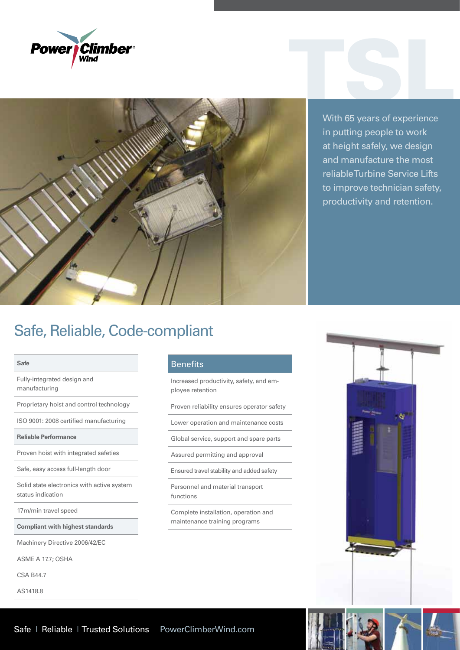



With 65 years of experience in putting people to work at height safely, we design and manufacture the most reliable Turbine Service Lifts to improve technician safety, productivity and retention.

## Safe, Reliable, Code-compliant

### **Safe**

Fully-integrated design and manufacturing

Proprietary hoist and control technology

ISO 9001: 2008 certified manufacturing

**Reliable Performance**

Proven hoist with integrated safeties

Safe, easy access full-length door

Solid state electronics with active system status indication

17m/min travel speed

**Compliant with highest standards**

Machinery Directive 2006/42/EC

ASME A 17.7; OSHA

CSA B44.7

AS1418.8

## **Benefits**

Increased productivity, safety, and employee retention

Proven reliability ensures operator safety

Lower operation and maintenance costs

Global service, support and spare parts

Assured permitting and approval

Ensured travel stability and added safety

Personnel and material transport functions

Complete installation, operation and maintenance training programs